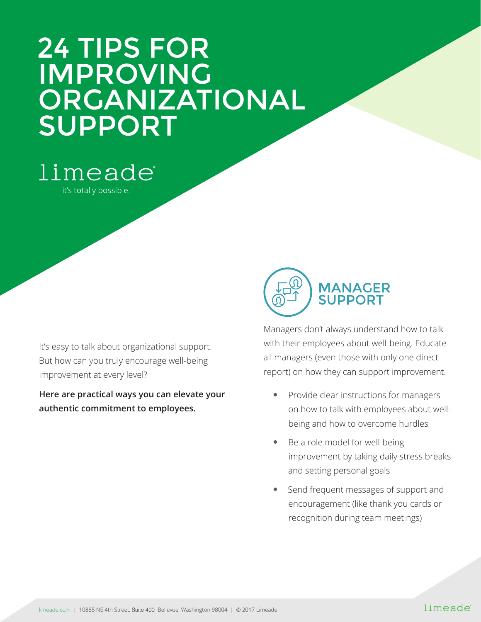## 24 TIPS FOR IMPROVING ORGANIZATIONAL SUPPORT

limeade®

it's totally possible.

It's easy to talk about organizational support. But how can you truly encourage well-being improvement at every level?

**Here are practical ways you can elevate your authentic commitment to employees.**



Managers don't always understand how to talk with their employees about well-being. Educate all managers (even those with only one direct report) on how they can support improvement.

- Provide clear instructions for managers on how to talk with employees about wellbeing and how to overcome hurdles
- Be a role model for well-being improvement by taking daily stress breaks and setting personal goals
- Send frequent messages of support and encouragement (like thank you cards or recognition during team meetings)

## limeade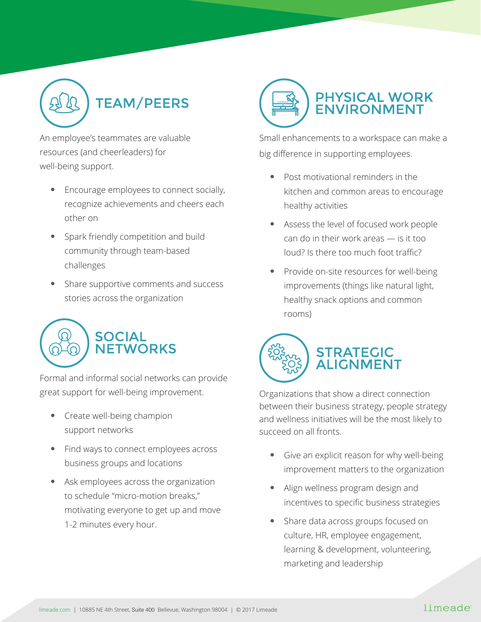

An employee's teammates are valuable resources (and cheerleaders) for well-being support.

- Encourage employees to connect socially, recognize achievements and cheers each other on
- Spark friendly competition and build community through team-based challenges
- Share supportive comments and success stories across the organization



Formal and informal social networks can provide great support for well-being improvement.

- Create well-being champion support networks
- Find ways to connect employees across business groups and locations
- Ask employees across the organization to schedule "micro-motion breaks," motivating everyone to get up and move 1-2 minutes every hour.



Small enhancements to a workspace can make a big difference in supporting employees.

- Post motivational reminders in the kitchen and common areas to encourage healthy activities
- Assess the level of focused work people can do in their work areas — is it too loud? Is there too much foot traffic?
- Provide on-site resources for well-being improvements (things like natural light, healthy snack options and common rooms)



Organizations that show a direct connection between their business strategy, people strategy and wellness initiatives will be the most likely to succeed on all fronts.

- Give an explicit reason for why well-being improvement matters to the organization
- Align wellness program design and incentives to specific business strategies
- Share data across groups focused on culture, HR, employee engagement, learning & development, volunteering, marketing and leadership

## limeade